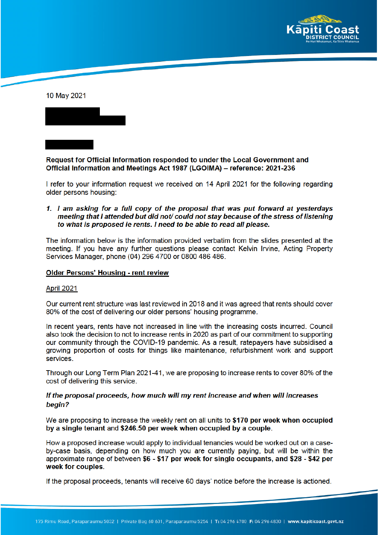

10 May 2021



# Request for Official Information responded to under the Local Government and Official Information and Meetings Act 1987 (LGOIMA) - reference: 2021-236

I refer to your information request we received on 14 April 2021 for the following regarding older persons housing:

1. I am asking for a full copy of the proposal that was put forward at yesterdays meeting that I attended but did not/ could not stay because of the stress of listening to what is proposed ie rents. I need to be able to read all please.

The information below is the information provided verbatim from the slides presented at the meeting. If you have any further questions please contact Kelvin Irvine. Acting Property Services Manager, phone (04) 296 4700 or 0800 486 486.

#### **Older Persons' Housing - rent review**

#### April 2021

Our current rent structure was last reviewed in 2018 and it was agreed that rents should cover 80% of the cost of delivering our older persons' housing programme.

In recent years, rents have not increased in line with the increasing costs incurred. Council also took the decision to not to increase rents in 2020 as part of our commitment to supporting our community through the COVID-19 pandemic. As a result, ratepayers have subsidised a growing proportion of costs for things like maintenance, refurbishment work and support services.

Through our Long Term Plan 2021-41, we are proposing to increase rents to cover 80% of the cost of delivering this service.

## If the proposal proceeds, how much will my rent increase and when will increases begin?

We are proposing to increase the weekly rent on all units to \$170 per week when occupied by a single tenant and \$246.50 per week when occupied by a couple.

How a proposed increase would apply to individual tenancies would be worked out on a caseby-case basis, depending on how much you are currently paying, but will be within the approximate range of between \$6 - \$17 per week for single occupants, and \$28 - \$42 per week for couples.

If the proposal proceeds, tenants will receive 60 days' notice before the increase is actioned.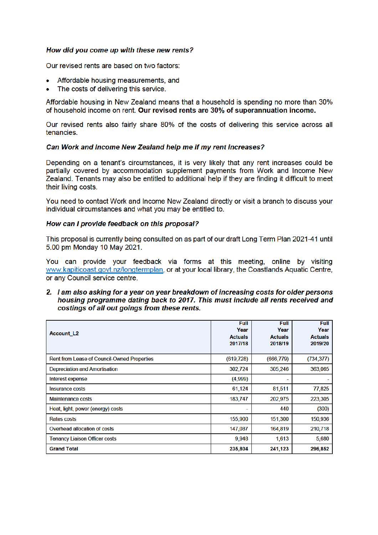## How did you come up with these new rents?

Our revised rents are based on two factors:

- Affordable housing measurements, and
- The costs of delivering this service.

Affordable housing in New Zealand means that a household is spending no more than 30% of household income on rent. Our revised rents are 30% of superannuation income.

Our revised rents also fairly share 80% of the costs of delivering this service across all tenancies.

## Can Work and Income New Zealand help me if my rent increases?

Depending on a tenant's circumstances, it is very likely that any rent increases could be partially covered by accommodation supplement payments from Work and Income New Zealand. Tenants may also be entitled to additional help if they are finding it difficult to meet their living costs.

You need to contact Work and Income New Zealand directly or visit a branch to discuss your individual circumstances and what you may be entitled to.

#### How can I provide feedback on this proposal?

This proposal is currently being consulted on as part of our draft Long Term Plan 2021-41 until 5.00 pm Monday 10 May 2021.

You can provide your feedback via forms at this meeting, online by visiting www.kapiticoast.govt.nz/longtermplan, or at your local library, the Coastlands Aquatic Centre, or any Council service centre.

### 2. I am also asking for a year on year breakdown of increasing costs for older persons housing programme dating back to 2017. This must include all rents received and costings of all out goings from these rents.

| <b>Account L2</b>                           | Full<br>Year<br><b>Actuals</b><br>2017/18 | Full<br>Year<br><b>Actuals</b><br>2018/19 | <b>Full</b><br>Year<br><b>Actuals</b><br>2019/20 |
|---------------------------------------------|-------------------------------------------|-------------------------------------------|--------------------------------------------------|
| Rent from Lease of Council-Owned Properties | (619, 728)                                | (666, 779)                                | (734, 377)                                       |
| <b>Depreciation and Amortisation</b>        | 302,724                                   | 305,246                                   | 363,065                                          |
| Interest expense                            | (4,999)                                   |                                           |                                                  |
| <b>Insurance costs</b>                      | 61,124                                    | 81,511                                    | 77,825                                           |
| <b>Maintenance costs</b>                    | 183,747                                   | 202,975                                   | 223,305                                          |
| Heat, light, power (energy) costs           |                                           | 440                                       | (300)                                            |
| Rates costs                                 | 155,900                                   | 151,300                                   | 150,936                                          |
| Overhead allocation of costs                | 147,087                                   | 164,819                                   | 210,718                                          |
| <b>Tenancy Liaison Officer costs</b>        | 9,948                                     | 1,613                                     | 5,680                                            |
| <b>Grand Total</b>                          | 235,804                                   | 241,123                                   | 296,852                                          |